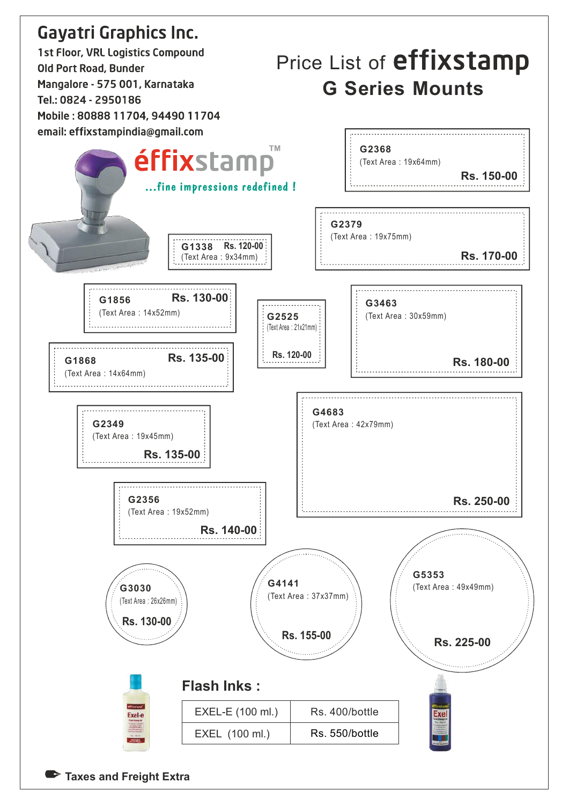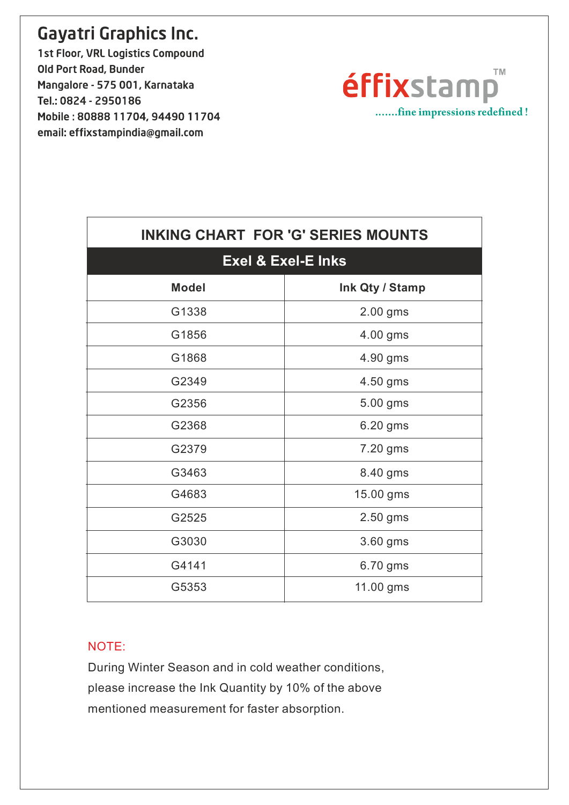1st Floor, VRL Logistics Compound Old Port Road, Bunder Mangalore - 575 001, Karnataka Tel.: 0824 - 2950186 Mobile: 80888 11704, 94490 11704 email: effixstampindia@gmail.com

 $\sqrt{ }$ 



| <b>INKING CHART FOR 'G' SERIES MOUNTS</b> |                 |  |
|-------------------------------------------|-----------------|--|
| <b>Exel &amp; Exel-E Inks</b>             |                 |  |
| <b>Model</b>                              | Ink Qty / Stamp |  |
| G1338                                     | 2.00 gms        |  |
| G1856                                     | 4.00 gms        |  |
| G1868                                     | 4.90 gms        |  |
| G2349                                     | 4.50 gms        |  |
| G2356                                     | 5.00 gms        |  |
| G2368                                     | 6.20 gms        |  |
| G2379                                     | 7.20 gms        |  |
| G3463                                     | 8.40 gms        |  |
| G4683                                     | 15.00 gms       |  |
| G2525                                     | 2.50 gms        |  |
| G3030                                     | 3.60 gms        |  |
| G4141                                     | 6.70 gms        |  |
| G5353                                     | 11.00 gms       |  |
|                                           |                 |  |

#### NOTE:

During Winter Season and in cold weather conditions, please increase the Ink Quantity by 10% of the above mentioned measurement for faster absorption.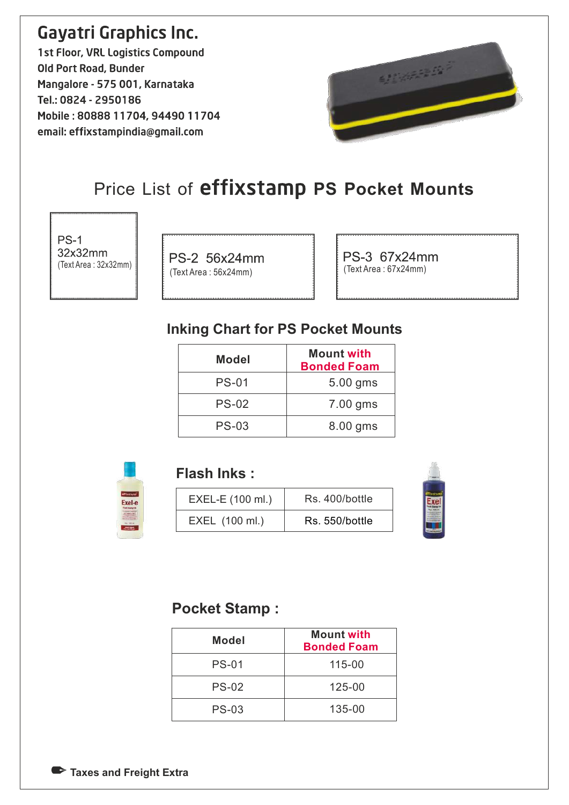1st Floor, VRL Logistics Compound Old Port Road, Bunder Mangalore - 575 001, Karnataka Tel.: 0824 - 2950186 Mobile: 80888 11704, 94490 11704 email: effixstampindia@gmail.com



## Price List of effixstamp PS Pocket Mounts

 $PS-1$ 32x32mm (Text Area : 32x32mm)

PS-2 56x24mm (Text Area : 56x24mm) (Text Area : 67x24mm)

PS-3 67x24mm

#### Inking Chart for PS Pocket Mounts

| <b>Mount with</b><br><b>Bonded Foam</b> |
|-----------------------------------------|
| 5.00 gms                                |
| 7.00 gms                                |
| 8.00 gms                                |
|                                         |



#### Flash Inks :

| EXEL-E (100 ml.) | Rs. 400/bottle |  |
|------------------|----------------|--|
| EXEL (100 ml.)   | Rs. 550/bottle |  |



#### Pocket Stamp :

| <b>Model</b> | <b>Mount with</b><br><b>Bonded Foam</b> |
|--------------|-----------------------------------------|
| <b>PS-01</b> | 115-00                                  |
| <b>PS-02</b> | 125-00                                  |
| <b>PS-03</b> | 135-00                                  |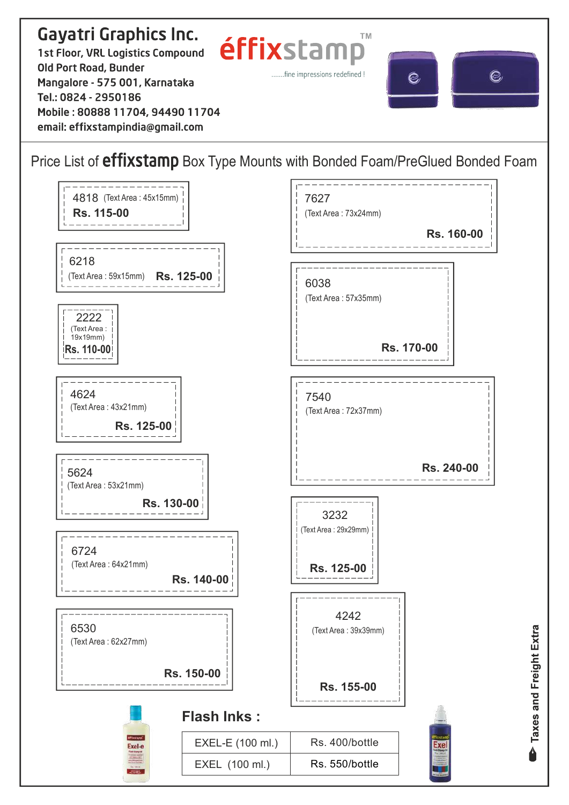#### **Gayatri Graphics Inc. TM** éffixstam 1st Floor, VRL Logistics Compound Old Port Road, Bunder .......fine impressions redefined ! C) Q Mangalore - 575 001, Karnataka Tel.: 0824 - 2950186 Mobile: 80888 11704, 94490 11704 email: effixstampindia@gmail.com

#### Price List of *effixstamp* Box Type Mounts with Bonded Foam/PreGlued Bonded Foam

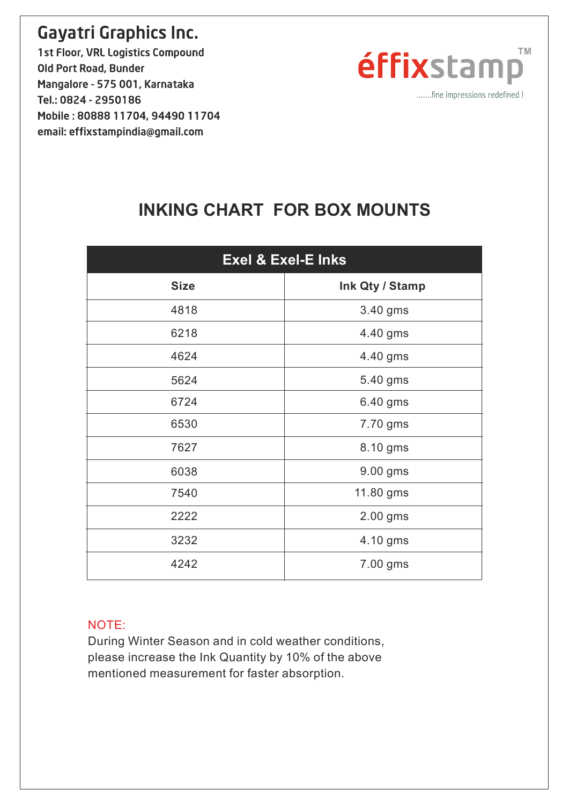1st Floor, VRL Logistics Compound Old Port Road, Bunder Mangalore - 575 001, Karnataka Tel.: 0824 - 2950186 Mobile: 80888 11704, 94490 11704 email: effixstampindia@gmail.com



.......fine impressions redefined !

### INKING CHART FOR BOX MOUNTS

| <b>Exel &amp; Exel-E Inks</b> |                 |
|-------------------------------|-----------------|
| <b>Size</b>                   | Ink Qty / Stamp |
| 4818                          | 3.40 gms        |
| 6218                          | 4.40 gms        |
| 4624                          | 4.40 gms        |
| 5624                          | 5.40 gms        |
| 6724                          | 6.40 gms        |
| 6530                          | 7.70 gms        |
| 7627                          | 8.10 gms        |
| 6038                          | 9.00 gms        |
| 7540                          | 11.80 gms       |
| 2222                          | 2.00 gms        |
| 3232                          | 4.10 gms        |
| 4242                          | 7.00 gms        |

#### NOTE:

During Winter Season and in cold weather conditions, please increase the Ink Quantity by 10% of the above mentioned measurement for faster absorption.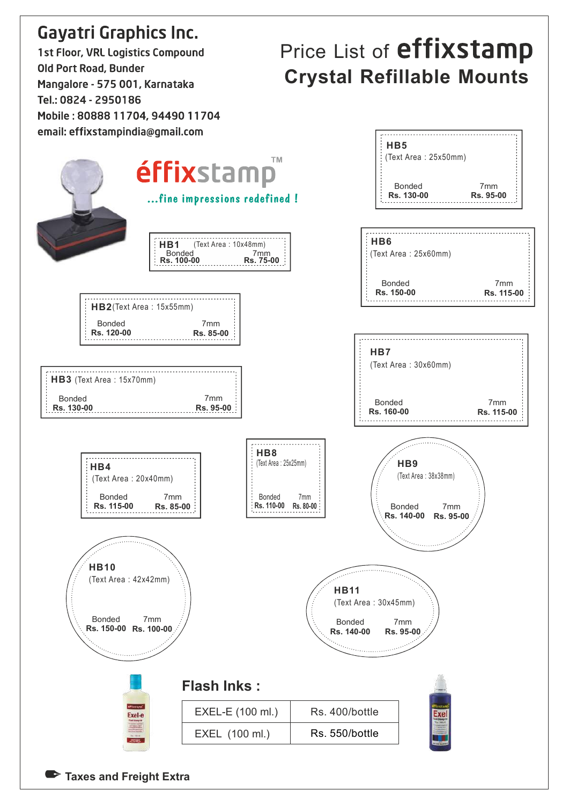**1st Floor, VRL Logistics Compound** Old Port Road, Bunder Mangalore - 575 001, Karnataka Tel.: 0824 - 2950186 Mobile: 80888 11704, 94490 11704

# Price List of **effixstamp** Crystal Refillable Mounts

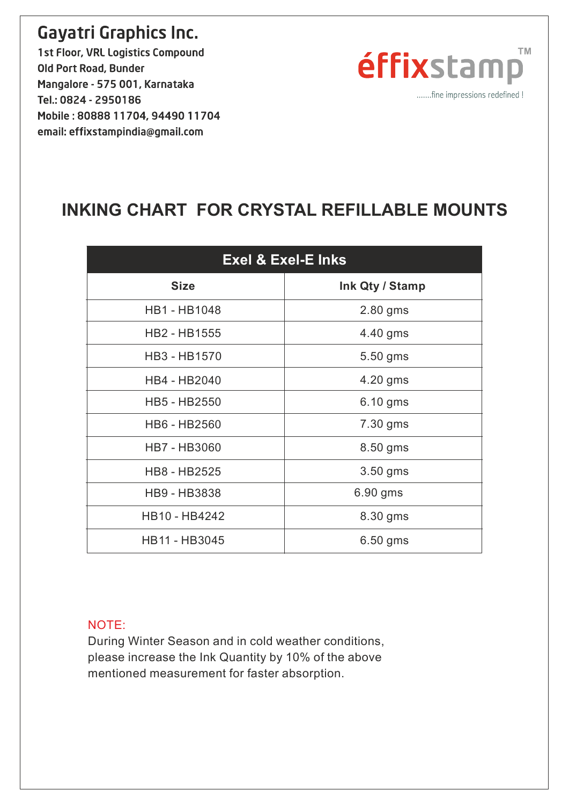1st Floor, VRL Logistics Compound Old Port Road, Bunder Mangalore - 575 001, Karnataka Tel.: 0824 - 2950186 Mobile: 80888 11704, 94490 11704 email: effixstampindia@gmail.com



.......fine impressions redefined !

### INKING CHART FOR CRYSTAL REFILLABLE MOUNTS

| <b>Exel &amp; Exel-E Inks</b> |                 |  |
|-------------------------------|-----------------|--|
| <b>Size</b>                   | Ink Qty / Stamp |  |
| <b>HB1-HB1048</b>             | 2.80 gms        |  |
| HB2 - HB1555                  | 4.40 gms        |  |
| HB3 - HB1570                  | 5.50 gms        |  |
| HB4 - HB2040                  | 4.20 gms        |  |
| HB5 - HB2550                  | 6.10 gms        |  |
| HB6 - HB2560                  | 7.30 gms        |  |
| <b>HB7 - HB3060</b>           | 8.50 gms        |  |
| HB8 - HB2525                  | 3.50 gms        |  |
| HB9 - HB3838                  | 6.90 gms        |  |
| HB10 - HB4242                 | 8.30 gms        |  |
| HB11 - HB3045                 | 6.50 gms        |  |

#### NOTE:

During Winter Season and in cold weather conditions, please increase the Ink Quantity by 10% of the above mentioned measurement for faster absorption.